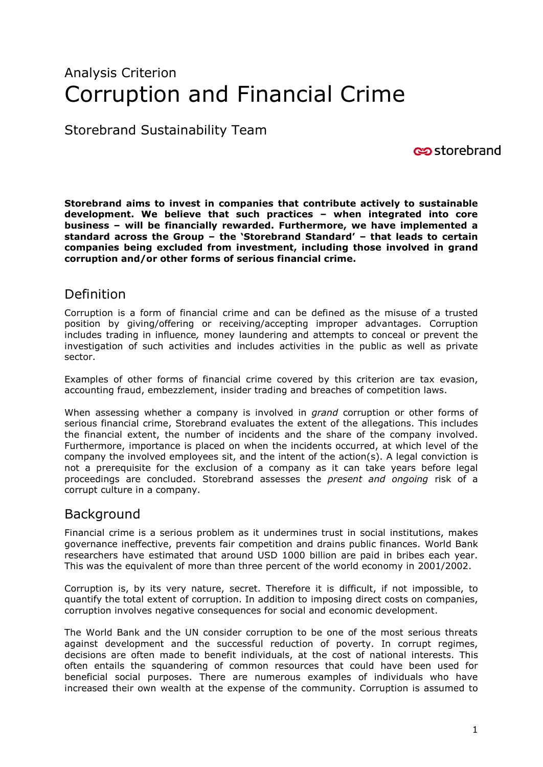# Analysis Criterion Corruption and Financial Crime

Storebrand Sustainability Team

storebrand

**Storebrand aims to invest in companies that contribute actively to sustainable development. We believe that such practices – when integrated into core business – will be financially rewarded. Furthermore, we have implemented a standard across the Group – the 'Storebrand Standard' – that leads to certain companies being excluded from investment, including those involved in grand corruption and/or other forms of serious financial crime.**

## Definition

Corruption is a form of financial crime and can be defined as the misuse of a trusted position by giving/offering or receiving/accepting improper advantages. Corruption includes trading in influence*,* money laundering and attempts to conceal or prevent the investigation of such activities and includes activities in the public as well as private sector.

Examples of other forms of financial crime covered by this criterion are tax evasion, accounting fraud, embezzlement, insider trading and breaches of competition laws.

When assessing whether a company is involved in *grand* corruption or other forms of serious financial crime, Storebrand evaluates the extent of the allegations. This includes the financial extent, the number of incidents and the share of the company involved. Furthermore, importance is placed on when the incidents occurred, at which level of the company the involved employees sit, and the intent of the action(s). A legal conviction is not a prerequisite for the exclusion of a company as it can take years before legal proceedings are concluded. Storebrand assesses the *present and ongoing* risk of a corrupt culture in a company.

### Background

Financial crime is a serious problem as it undermines trust in social institutions, makes governance ineffective, prevents fair competition and drains public finances. World Bank researchers have estimated that around USD 1000 billion are paid in bribes each year. This was the equivalent of more than three percent of the world economy in 2001/2002.

Corruption is, by its very nature, secret. Therefore it is difficult, if not impossible, to quantify the total extent of corruption. In addition to imposing direct costs on companies, corruption involves negative consequences for social and economic development.

The World Bank and the UN consider corruption to be one of the most serious threats against development and the successful reduction of poverty. In corrupt regimes, decisions are often made to benefit individuals, at the cost of national interests. This often entails the squandering of common resources that could have been used for beneficial social purposes. There are numerous examples of individuals who have increased their own wealth at the expense of the community. Corruption is assumed to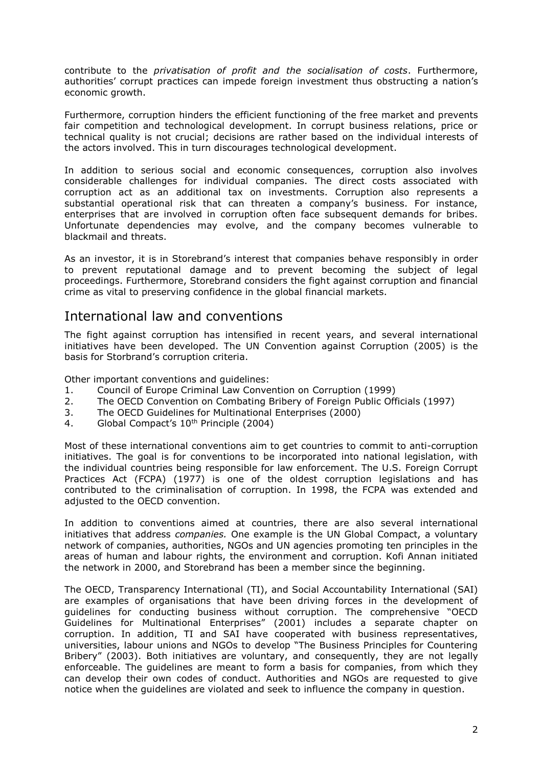contribute to the *privatisation of profit and the socialisation of costs*. Furthermore, authorities' corrupt practices can impede foreign investment thus obstructing a nation's economic growth.

Furthermore, corruption hinders the efficient functioning of the free market and prevents fair competition and technological development. In corrupt business relations, price or technical quality is not crucial; decisions are rather based on the individual interests of the actors involved. This in turn discourages technological development.

In addition to serious social and economic consequences, corruption also involves considerable challenges for individual companies. The direct costs associated with corruption act as an additional tax on investments. Corruption also represents a substantial operational risk that can threaten a company's business. For instance, enterprises that are involved in corruption often face subsequent demands for bribes. Unfortunate dependencies may evolve, and the company becomes vulnerable to blackmail and threats.

As an investor, it is in Storebrand's interest that companies behave responsibly in order to prevent reputational damage and to prevent becoming the subject of legal proceedings. Furthermore, Storebrand considers the fight against corruption and financial crime as vital to preserving confidence in the global financial markets.

### International law and conventions

The fight against corruption has intensified in recent years, and several international initiatives have been developed. The UN Convention against Corruption (2005) is the basis for Storbrand's corruption criteria.

Other important conventions and guidelines:

- 1. Council of Europe Criminal Law Convention on Corruption (1999)
- 2. The OECD Convention on Combating Bribery of Foreign Public Officials (1997)
- 3. The OECD Guidelines for Multinational Enterprises (2000)
- 4. Global Compact's 10<sup>th</sup> Principle (2004)

Most of these international conventions aim to get countries to commit to anti-corruption initiatives. The goal is for conventions to be incorporated into national legislation, with the individual countries being responsible for law enforcement. The U.S. Foreign Corrupt Practices Act (FCPA) (1977) is one of the oldest corruption legislations and has contributed to the criminalisation of corruption. In 1998, the FCPA was extended and adjusted to the OECD convention.

In addition to conventions aimed at countries, there are also several international initiatives that address *companies.* One example is the UN Global Compact, a voluntary network of companies, authorities, NGOs and UN agencies promoting ten principles in the areas of human and labour rights, the environment and corruption. Kofi Annan initiated the network in 2000, and Storebrand has been a member since the beginning.

The OECD, Transparency International (TI), and Social Accountability International (SAI) are examples of organisations that have been driving forces in the development of guidelines for conducting business without corruption. The comprehensive "OECD Guidelines for Multinational Enterprises" (2001) includes a separate chapter on corruption. In addition, TI and SAI have cooperated with business representatives, universities, labour unions and NGOs to develop "The Business Principles for Countering Bribery" (2003). Both initiatives are voluntary, and consequently, they are not legally enforceable. The guidelines are meant to form a basis for companies, from which they can develop their own codes of conduct. Authorities and NGOs are requested to give notice when the guidelines are violated and seek to influence the company in question.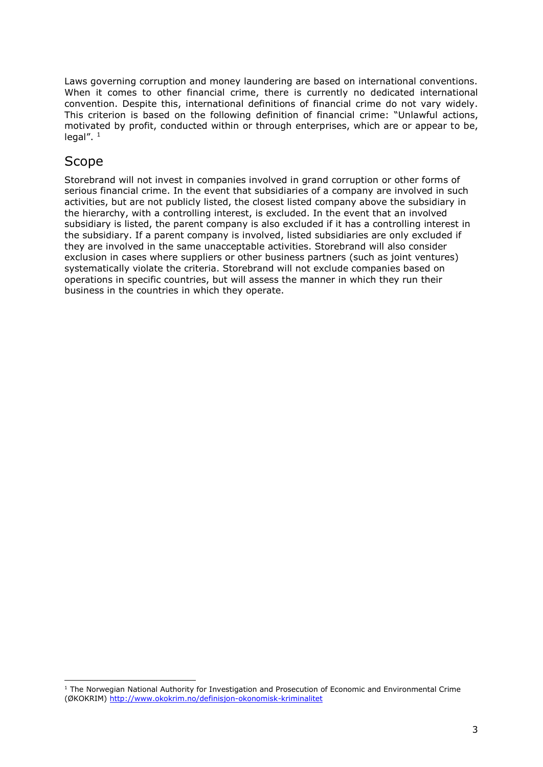Laws governing corruption and money laundering are based on international conventions. When it comes to other financial crime, there is currently no dedicated international convention. Despite this, international definitions of financial crime do not vary widely. This criterion is based on the following definition of financial crime: "Unlawful actions, motivated by profit, conducted within or through enterprises, which are or appear to be, legal". 1

#### Scope

ł

Storebrand will not invest in companies involved in grand corruption or other forms of serious financial crime. In the event that subsidiaries of a company are involved in such activities, but are not publicly listed, the closest listed company above the subsidiary in the hierarchy, with a controlling interest, is excluded. In the event that an involved subsidiary is listed, the parent company is also excluded if it has a controlling interest in the subsidiary. If a parent company is involved, listed subsidiaries are only excluded if they are involved in the same unacceptable activities. Storebrand will also consider exclusion in cases where suppliers or other business partners (such as joint ventures) systematically violate the criteria. Storebrand will not exclude companies based on operations in specific countries, but will assess the manner in which they run their business in the countries in which they operate.

<sup>&</sup>lt;sup>1</sup> The Norwegian National Authority for Investigation and Prosecution of Economic and Environmental Crime (ØKOKRIM)<http://www.okokrim.no/definisjon-okonomisk-kriminalitet>